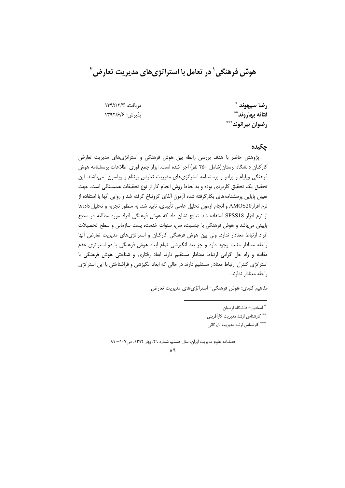هوش فرهنگی ` در تعامل با استراتژیهای مدیریت تعارض `

د، بافت: ١٣٩٢/٢/٣ يذيرش: ١٣٩٢/۶/۶

رضا سيهوند \* فتانه بهاروند\*\* رضوان بيرانوند\*\*\*

#### جكيده

پژوهش حاضر با هدف بررسی رابطه بین هوش فرهنگی و استراتژیهای مدیریت تعارض کارکنان دانشگاه لرستان(شامل ۲۵۰ نفر) اجرا شده است. ابزار جمع آوری اطلاعات پرسشنامه هوش فرهنگی ویلیام و پرادو و پرسشنامه استراتژیهای مدیریت تعارض پوتنام و ویلسون میباشند. این تحقیق یک تحقیق کاربردی بوده و به لحاظ روش انجام کار از نوع تحقیقات همبستگی است. جهت تعیین پایایی پرسشنامههای بکارگرفته شده آزمون آلفای کرونباخ گرفته شد و روایی آنها با استفاده از نرم افزار AMOS20 و انجام آزمون تحليل عاملي تأييدي، تاييد شد. به منظور تجزيه و تحليل دادهها از نرم افزار SPSS18 استفاده شد. نتایج نشان داد که هوش فرهنگی افراد مورد مطالعه در سطح پایینی میباشد و هوش فرهنگی با جنسیت، سن، سنوات خدمت، پست سازمانی و سطح تحصیلات افراد ارتباط معنادار ندارد. ولی بین هوش فرهنگی کارکنان و استراتژیهای مدیریت تعارض أنها رابطه معنادار مثبت وجود دارد و جز بعد انگیزشی تمام ابعاد هوش فرهنگی با دو استراتژی عدم مقابله و راه حل گرایی ارتباط معنادار مستقیم دارد. ابعاد رفتاری و شناختی هوش فرهنگی با استراتژی کنترل ارتباط معنادار مستقیم دارند در حالی که ابعاد انگیزشی و فراشناختی با این استراتژی رابطه معنادار ندارند.

مفاهیم کلیدی: هوش فرهنگی- استراتژیهای مدیریت تعارض

\* استادیار – دانشگاه لرستان \*\* كارشناس ارشد مديريت كارآفريني \*\*\* كارشناس ارشد مديريت بازرگاني

فصلنامه علوم مديريت ايران، سال هشتم، شماره ٢٩، بهار ١٣٩٢، ص١٠٧ - ٨٩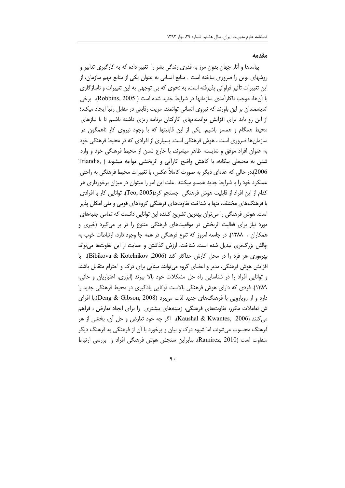#### مقدمه

پیامدها و آثار جهان بدون مرز به قدری زندگی بشر را تغییر داده که به کارگیری تدابیر و روشهای نوین را ضروری ساخته است . منابع انسانی به عنوان یکی از منابع مهم سازمان، از این تغییرات تأثیر فراوانی پذیرفته است، به نحوی که بی توجهی به این تغییرات و ناسازگاری با آنها، موجب ناکارآمدی سازمانها در شرایط جدید شده است ( Robbins, 2005). برخی اندیشمندان بر این باورند که نیروی انسانی توانمند، مزیت رقابتی در مقابل رقبا ایجاد میکند؛ از این رو باید برای افزایش توانمندیهای کارکنان برنامه ریزی داشته باشیم تا با نیازهای محیط همگام و همسو باشیم. یکی از این قابلیتها که با وجود نیروی کار ناهمگون در سازمانها ضروری است ، هوش فرهنگی است. بسیاری از افرادی که در محیط فرهنگی خود به عنوان افراد موفق و شایسته ظاهر میشوند، با خارج شدن از محیط فرهنگی خود و وارد شدن به محیطی بیگانه، با کاهش واضح کارآیی و اثربخشی مواجه میشوند ( .Triandis 2006).در حالی که عدمای دیگر به صورت کاملاً عکس، با تغییرات محیط فرهنگی به راحتی عملکرد خود را با شرایط جدید همسو میکنند .علت این امر را میتوان در میزان برخورداری هر كدام از اين افراد از قابليت هوش فرهنگي جستجو كرد(Teo, 2005). توانايي كار با افرادي با فرهنگهای مختلف، تنها با شناخت تفاوتهای فرهنگی گروههای قومی و ملی امکان پذیر است. هوش فرهنگی را می توان بهترین تشریح کننده این توانایی دانست که تمامی جنبههای مورد نیاز برای فعالیت اثربخش در موقعیتهای فرهنگی متنوع را در بر میگیرد (خیری و همکاران ، ۱۳۸۸). در جامعه امروز که تنوع فرهنگی در همه جا وجود دارد، ارتباطات خوب به چالش بزرگتری تبدیل شده است. شناخت، ارزش گذاشتن و حمایت از این تفاوتها میتواند بهرهوري هر فرد را در محل كارش حداكثر كند (Bibikova & Kotelnikov, 2006). با افزایش هوش فرهنگی، مدیر و اعضای گروه می توانند مبنایی برای درک و احترام متقابل باشند و توانایی افراد را در شناسایی راه حل مشکلات خود بالا ببرند (ابزری، اعتباریان و خانی، ۱۳۸۹). فردی که دارای هوش فرهنگی بالاست توانایی یادگیری در محیط فرهنگی جدید را دارد و از رویارویی با فرهنگ های جدید لذت می برد (Deng & Gibson, 2008).با افزای ش تعاملات مکرر، تفاوتهای فرهنگی، زمینههای بیشتری را برای ایجاد تعارض ، فراهم م ,کنند (Kaushal & Kwantes, 2006). اگر چه خود تعارض و حل آن، بخشی از هر فرهنگ محسوب می شوند، اما شیوه درک و بیان و برخورد با آن از فرهنگی به فرهنگ دیگر متفاوت است (Ramirez, 2010). بنابراین سنجش هوش فرهنگی افراد و بررسی ارتباط

 $\mathcal{A}$ .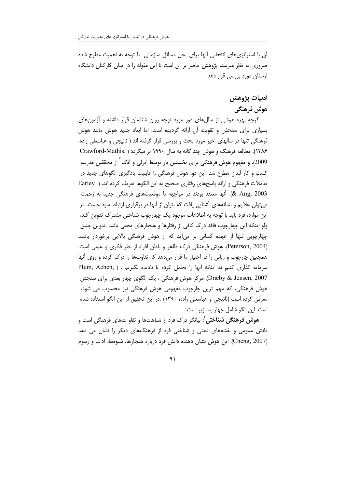آن با استراتژیهای انتخابی آنها برای حل مسائل سازمانی با توجه به اهمیت مطرح شده ضروری به نظر میرسد. پژوهش حاضر بر آن است تا این مقوله را در میان کارکنان دانشگاه لرستان مورد بررسی قرار دهد.

# ادبيات يژوهش هوش فرهنگي

گرچه بهره هوشی از سالهای دور مورد توجه روان شناسان قرار داشته و آزمونهای بسیاری برای سنجش و تقویت آن ارائه گردیده است، اما ابعاد جدید هوش مانند هوش فرهنگی تنها در سالهای اخیر مورد بحث و بررسی قرار گرفته اند ( نائیجی و عباسعلی زاده، ۱۳۸۶). مطالعه فرهنگ و هوش چند گانه به سال ۱۹۹۰ بر میگردد ( .Crawford-Mathis 2009). و مفهوم هوش فرهنگی برای نخستین بار توسط ایرلی و آنگ<sup>۳</sup> از محققین مدرسه کسب و کار لندن مطرح شد .این دو، هوش فرهنگی را قابلیت یادگیری الگوهای جدید در تعاملات فرهنگی و ارائه پاسخهای رفتاری صحیح به این الگوها تعریف کرده اند. ( Earley 2003 .(& Ang). آنها معتقد بودند در مواجهه با موقعیتهای فرهنگی جدید به زحمت میتوان علایم و نشانههای آشنایی یافت که بتوان از آنها در برقراری ارتباط سود جست. در این موارد، فرد باید با توجه به اطلاعات موجود یک چهارچوب شناختی مشترک تدوین کند، ولو اینکه این چهارچوب فاقد درک کافی از رفتارها و هنجارهای محلی باشد .تدوین چنین چهارچوبی تنها از عهده کسانی بر میأید که از هوش فرهنگی بالایی برخوردار باشند (Peterson, 2004). هوش فرهنگی درک ظاهر و باطن افراد از نظر فکری و عملی است. همچنین چارچوب و زبانی را در اختیار ما قرار میدهد که تفاوتها را درک کرده و روی آنها سرمایه گذاری کنیم نه اینکه آنها را تحمل کرده یا نادیده بگیریم . ( Plum, Achen, Dræby & Jensen, 2007). مركز هوش فرهنگي ، يک الگوي چهار بعدي براي سنجش هوش فرهنگی، که مهم ترین چارچوب مفهومی هوش فرهنگی نیز محسوب می شود، معرفی کرده است (نائیجی و عباسعلی زاده، ۱۳۹۰) .در این تحقیق از این الگو استفاده شده است. این الگو شامل چهار بعد زیر است:

**هوش فرهنگی شناختی** ٔ: بیانگر درک فرد از شباهتها و تفاو تهای فرهنگی است و دانش عمومی و نقشههای ذهنی و شناختی فرد از فرهنگهای دیگر را نشان می دهد (Cheng, 2007). این هوش نشان دهنده دانش فرد درباره هنجارها، شیوهها، آداب و رسوم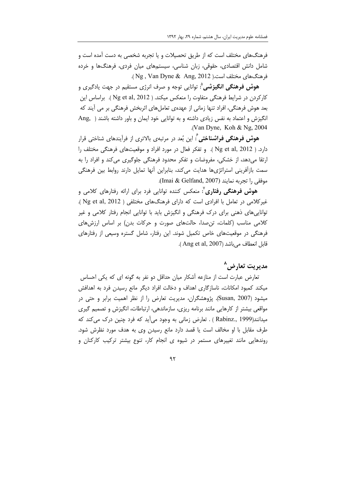فرهنگهای مختلف است که از طریق تحصیلات و یا تجربه شخصی به دست آمده است و شامل دانش اقتصادی، حقوقی، زبان شناسی، سیستمهای میان فردی، فرهنگها و خرده فرهنگهای مختلف است.( Ng , Van Dyne & Ang, 2012 ).

**هوش فرهنگی انگیزشی** ْ: توانایی توجه و صرف انرژی مستقیم در جهت یادگیری و كاركردن در شرايط فرهنگى متفاوت را منعكس ميكند. ( Ng et al, 2012 ). براساس اين بعد هوش فرهنگی، افراد تنها زمانی از عهدهی تعاملهای اثربخش فرهنگی بر می آیند که انگیزش و اعتماد به نفس زیادی داشته و به توانایی خود ایمان و باور داشته باشند ( Ang, ) .(Van Dyne, Koh  $& Ng, 2004$ 

هوش فرهنگی فراشناختی<sup>7</sup>: این بُعد در مرتبهی بالاتری از فرآیندهای شناختی قرار دارد. ( Ng et al, 2012 ). و تفكر فعال در مورد افراد و موقعيتهاى فرهنگى مختلف را ارتقا میدهد، از خشکی، مفروضات و تفکر محدود فرهنگی جلوگیری می کند و افراد را به سمت بازآفرینی استراتژیها هدایت میکند، بنابراین آنها تمایل دارند روابط بین فرهنگی موفقى را تجربه نمايند (Imai & Gelfand, 2007).

هوش فرهنگی رفتاری<sup>٬</sup>: منعکس کننده توانایی فرد برای ارائه رفتارهای کلامی و غیرکلامی در تعامل با افرادی است که دارای فرهنگهای مختلفی ( Ng et al, 2012 ). توانایی های ذهنی برای درک فرهنگی و انگیزش باید با توانایی انجام رفتار کلامی و غیر کلامی مناسب (کلمات، تن صدا، حالتهای صورت و حرکات بدن) بر اساس ارزشهای فرهنگی در موقعیتهای خاص تکمیل شوند. این رفتار، شامل گستره وسیعی از رفتارهای قابل انعطاف مي باشد (Ang et al, 2007).

# مدیریت تعارض ^

تعارض عبارت است از منازعه آشکار میان حداقل دو نفر به گونه ای که یکی احساس میکند کمبود امکانات، ناسازگاری اهداف و دخالت افراد دیگر مانع رسیدن فرد به اهدافش میشود (Susan, 2007). پژوهشگران، مدیریت تعارض را از نظر اهمیت برابر و حتی در مواقعی بیشتر از کارهایی مانند برنامه ریزی، سازماندهی، ارتباطات، انگیزش و تصمیم گیری میدانند(Rabinz., 1999 ) . تعارض زمانی به وجود میأید که فرد چنین درک میکند که طرف مقابل با او مخالف است یا قصد دارد مانع رسیدن وی به هدف مورد نظرش شود. روندهایی مانند تغییرهای مستمر در شیوه ی انجام کار، تنوع بیشتر ترکیب کارکنان و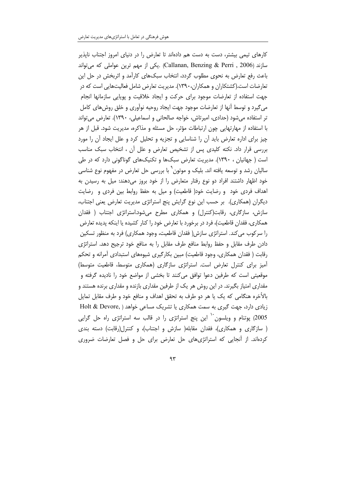کارهای تیمی بیشتر، دست به دست هم دادهاند تا تعارض را در دنیای امروز اجتناب ناپذیر سازند (Callanan, Benzing & Perri , 2006) .يكي از مهم ترين عواملي كه مي تواند باعث رفع تعارض به نحوی مطلوب گردد، انتخاب سبکهای کارآمد و اثربخش در حل این تعارضات است.(کشتکاران و همکاران،۱۳۹۰). مدیریت تعارض شامل فعالیتهایی است که در جهت استفاده از تعارضات موجود براى حركت و ايجاد خلاقيت و پويايي سازمانها انجام میگیرد و توسط آنها از تعارضات موجود جهت ایجاد روحیه نوآوری و خلق روشهای کامل تر استفاده می شود (حدادی، امیرتاش، خواجه صالحانی و اسماعیلی، ۱۳۹۰). تعارض می تواند با استفاده از مهارتهایی چون ارتباطات مؤثر، حل مسئله و مذاکره، مدیریت شود. قبل از هر چیز برای اداره تعارض باید آن را شناسایی و تجزیه و تحلیل کرد و علل ایجاد آن را مورد بررسی قرار داد. نکته کلیدی پس از تشخیص تعارض و علل آن ، انتخاب سبک مناسب است ( جهانیان ، ۱۳۹۰). مدیریت تعارض سبکها و تکنیکهای گوناگونی دارد که در طی سالیان رشد و توسعه یافته اند. بلیک و موتون ْ با بررسی حل تعارض در مفهوم نوع شناسی خود اظهار داشتند افراد دو نوع رفتار متعارض را از خود بروز می دهند: میل به رسیدن به اهداف فردی خود و رضایت خود( قاطعیت) و میل به حفظ روابط بین فردی و رضایت دیگران (همکاری). بر حسب این نوع گرایش پنج استراتژی مدیریت تعارض یعنی اجتناب، سازش، سازگاری، رقابت(کنترل) و همکاری مطرح می،شود.استراتژی اجتناب ( فقدان همکاری، فقدان قاطعیت)، فرد در برخورد با تعارض خود را کنار کشیده یا اینکه پدیده تعارض را سرکوب می کند. استراتژی سازش( فقدان قاطعیت، وجود همکاری) فرد به منظور تسکین دادن طرف مقابل و حفظ روابط منافع طرف مقابل را به منافع خود ترجيح دهد. استراتژي رقابت ( فقدان همکاری، وجود قاطعیت) مبین بکارگیری شیوههای استبدادی آمرانه و تحکم آمیز برای کنترل تعارض است. استراتژی سازگاری (همکاری متوسط، قاطعیت متوسط) موقعیتی است که طرفین دعوا توافق می کنند تا بخشی از مواضع خود را نادیده گرفته و مقداری امتیاز بگیرند. در این روش هر یک از طرفین مقداری بازنده و مقداری برنده هستند و بالأخره هنگامی که یک یا هر دو طرف به تحقق اهداف و منافع خود و طرف مقابل تمایل زیادی دارد، جهت گیری به سمت همکاری یا تشریک مساعی خواهد ( .Holt & Devore 2005) پوتنام و ویلسون<sup>۱۰</sup> این پنج استراتژی را در قالب سه استراتژی راه حل گرایی ( سازگاری و همکاری)، فقدان مقابله( سازش و اجتناب)، و کنترل(رقابت) دسته بندی کردهاند. از آنجایی که استراتژیهای حل تعارض برای حل و فصل تعارضات ضروری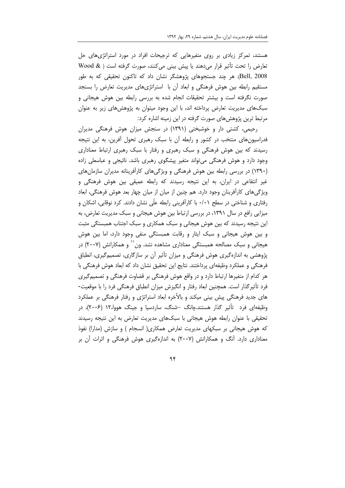هستند، تمرکز زیادی بر روی متغیرهایی که ترجیحات افراد در مورد استراتژی های حل تعارض را تحت تأثير قرار مىدهند يا پيش بينى مى كنند، صورت گرفته است ( @ Wood Bell, 2008). هر چند جستجوهای پژوهشگر نشان داد که تاکنون تحقیقی که به طور مستقیم رابطه بین هوش فرهنگی و ابعاد آن با استراتژیهای مدیریت تعارض را بسنجد صورت نگرفته است و بیشتر تحقیقات انجام شده به بررسی رابطه بین هوش هیجانی و سبکهای مدیریت تعارض پرداخته اند، با این وجود میتوان به پژوهشهای زیر به عنوان مرتبط ترین پژوهشهای صورت گرفته در این زمینه اشاره کرد:

رحیمی، کشتی دار و خوشبختی (۱۳۹۱) در سنجش میزان هوش فرهنگی مدیران فدراسیون های منتخب در کشور و رابطه آن با سبک رهبری تحول آفرین، به این نتیجه رسیدند که بین هوش فرهنگی و سبک رهبری و رفتار با سبک رهبری ارتباط معناداری وجود دارد و هوش فرهنگی می تواند متغیر پیشگوی رهبری باشد. نائیجی و عباسعلی زاده (۱۳۹۰) در بررسی رابطه بین هوش فرهنگی و ویژگیهای کارآفرینانه مدیران سازمانهای غیر انتفاعی در ایران، به این نتیجه رسیدند که رابطه عمیقی بین هوش فرهنگی و ویژگیهای کارآفرینان وجود دارد. هم چنین از میان از میان چهار بعد هوش فرهنگی، ابعاد رفتاری و شناختی در سطح ۰/۰۱ با کارآفرینی رابطه علّی نشان دادند. کرد نوقابی، اشکان و میزایی رافع در سال ۱۳۹۱، در بررسی ارتباط بین هوش هیجانی و سبک مدیریت تعارض، به این نتیجه رسیدند که بین هوش هیجانی و سبک همکاری و سبک اجتناب همبستگی مثبت و بین هوش هیجانی و سبک ایثار و رقابت همبستگی منفی وجود دارد، اما بین هوش هیجانی و سبک مصالحه همبستگی معناداری مشاهده نشد. ون `` و همکارانش (۲۰۰۷) در پژوهشی به اندازهگیری هوش فرهنگی و میزان تأثیر آن بر سازگاری، تصمیمگیری، انطباق فرهنگی و عملکرد وظیفهای پرداختند. نتایج این تحقیق نشان داد که ابعاد هوش فرهنگی با هر کدام از متغیرها ارتباط دارد و در واقع هوش فرهنگی بر قضاوت فرهنگی و تصمیم گیری فرد تأثیرگذار است. همچنین ابعاد رفتار و انگیزش میزان انطباق فرهنگی فرد را با موقعیت-های جدید فرهنگی پیش بینی میکند و بالأخره ابعاد استراتژی و رفتار فرهنگی بر عملکرد وظیفهای فرد تأثیر گذار هستند.چانگ –شنگ، ساردسیا و جینگ هووا،۱۲ (۲۰۰۶)، در تحقیقی با عنوان رابطه هوش هیجانی با سبکهای مدیریت تعارض به این نتیجه رسیدند که هوش هیجانی بر سبکهای مدیریت تعارض همکاری( انسجام ) و سازش (مدارا) نفوذ معناداری دارد. آنگ و همکارانش (۲۰۰۷) به اندازهگیری هوش فرهنگی و اثرات آن بر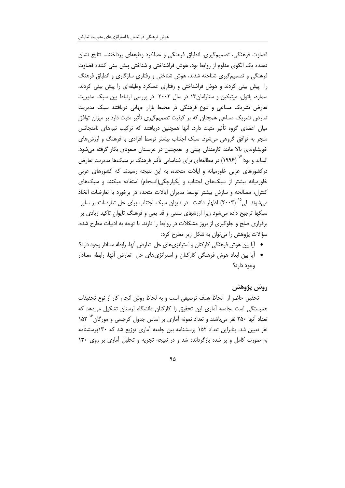قضاوت فرهنگی، تصمیمگیری، انطباق فرهنگی و عملکرد وظیفهای پرداختند.، نتایج نشان دهنده یک الگوی مداوم از روابط بود، هوش فراشناختی و شناختی پیش بینی کننده قضاوت فرهنگی و تصمیم گیری شناخته شدند، هوش شناختی و رفتاری سازگاری و انطباق فرهنگ را پیش بینی کردند و هوش فراشناختی و رفتاری عملکرد وظیفهای را پیش بینی کردند. سماره، پائول، میتیکین و ستارامان١٣ در سال ٢٠٠٢ در بررسی ارتباط بین سبک مدیریت تعارض تشریک مساعی و تنوع فرهنگی در محیط بازار جهانی دریافتند سبک مدیریت تعارض تشریک مساعی همچنان که بر کیفیت تصمیمگیری تأثیر مثبت دارد بر میزان توافق میان اعضای گروه تأثیر مثبت دارد. آنها همچنین دریافتند که ترکیب تیمهای نامتجانس منجر به توافق گروهی میشود. سبک اجتناب بیشتر توسط افرادی با فرهنگ و ارزشهای خویشاوندی بالا مانند کارمندان چینی و همچنین در عربستان صعودی بکار گرفته میشود. الساید و بودا<sup>۱۲</sup> (۱۹۹۶) در مطالعهای برای شناسایی تأثیر فرهنگ بر سبکها مدیریت تعارض درکشورهای عربی خاورمیانه و ایلات متحده، به این نتیجه رسیدند که کشورهای عربی خاورمیانه بیشتر از سبکهای اجتناب و یکپارچگی(انسجام) استفاده میکنند و سبکهای کنترل، مصالحه و سازش بیشتر توسط مدیران ایالات متحده در برخورد با تعارضات اتخاذ می شوند. لی ۱<sup>۵</sup> (۲۰۰۳) اظهار داشت ِ در تایوان سبک اجتناب برای حل تعارضات بر سایر سبکها ترجیح داده میشود زیرا ارزشهای سنتی و قد یمی و فرهنگ تایوان تاکید زیادی بر برقراری صلح و جلوگیری از بروز مشکلات در روابط را دارند. با توجه به ادبیات مطرح شده، سؤالات پژوهش را میتوان به شکل زیر مطرح کرد:

- اَیا بین هوش فرهنگی کارکنان و استراتژیهای حل تعارض اّنها، رابطه معنادار وجود دارد؟
- آیا بین ابعاد هوش فرهنگی کارکنان و استراتژیهای حل تعارض آنها، رابطه معنادار وجود دارد؟

### روش پژوهش

تحقيق حاضر از لحاظ هدف توصيفي است و به لحاظ روش انجام كار از نوع تحقيقات همبستگی است .جامعه آماری این تحقیق را کارکنان دانشگاه لرستان تشکیل می دهد که تعداد آنها ۲۵۰ نفر میباشند و تعداد نمونه آماری بر اساس جدول کرجسی و مورگان <sup>۱٬</sup> ۱۵۲ نفر تعیین شد. بنابراین تعداد ۱۵۲ پرسشنامه بین جامعه آماری توزیع شد که ۱۳۰پرسشنامه به صورت کامل و پر شده بازگردانده شد و در نتیجه تجزیه و تحلیل آماری بر روی ۱۳۰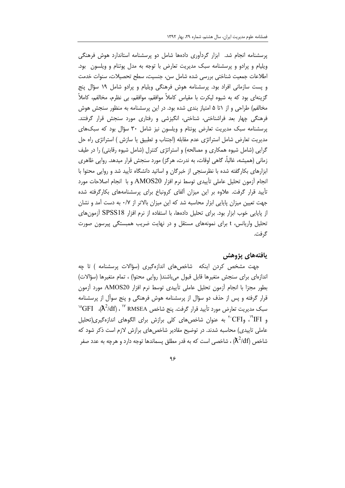پرسشنامه انجام شد. ابزار گردآوری دادهها شامل دو پرسشنامه استاندارد هوش فرهنگی ویلیام و پرادو و پرسشنامه سبک مدیریت تعارض با توجه به مدل پوتنام و ویلسون بود. اطلاعات جمعیت شناختی بررسی شده شامل سن، جنسیت، سطح تحصیلات، سنوات خدمت و پست سازمانی افراد بود. پرسشنامه هوش فرهنگی ویلیام و پرادو شامل ۱۹ سؤال پنج گزینهای بود که به شیوه لیکرت با مقیاس کاملاً موافقم، موافقم، بی نظرم، مخالفم، کاملاً مخالفم) طراحی و از ۱تا ۵ امتیاز بندی شده بود. در این پرسشنامه به منظور سنجش هوش فرهنگی چهار بعد فراشناختی، شناختی، انگیزشی و رفتاری مورد سنجش قرار گرفتند. پرسشنامه سبک مدیریت تعارض پونتام و ویلسون نیز شامل ۳۰ سؤال بود که سبکهای مدیریت تعارض شامل استراتژی عدم مقابله (اجتناب و تطبیق یا سازش ) استراتژی راه حل گرایی (شامل شیوه همکاری و مصالحه) و استراتژی کنترل (شامل شیوه رقابتی) را در طیف زمانی (همیشه، غالباً، گاهی اوقات، به ندرت، هرگز) مورد سنجش قرار میدهد. روایی ظاهری ابزارهای بکارگفته شده با نظرسنجی از خبرگان و اساتید دانشگاه تأیید شد و روایی محتوا با انجام آزمون تحليل عاملي تأييدي توسط نرم افزار AMOS20 و با انجام اصلاحات مورد تأیید قرار گرفت. علاوه بر این میزان آلفای کرونباخ برای پرسشنامههای بکارگرفته شده جهت تعیین میزان پایایی ابزار محاسبه شد که این میزان بالاتر از ۰/۷ به دست آمد و نشان از پایایی خوب ابزار بود. برای تحلیل دادهها، با استفاده از نرم افزار SPSS18 آزمونهای تحلیل واریانس، t برای نمونههای مستقل و در نهایت ضریب همبستگی پیرسون صورت گر فت.

#### يافتههاي يژوهش

جهت مشخص کردن اینکه شاخصهای اندازهگیری (سؤالات پرسشنامه ) تا چه اندازهای برای سنجش متغیرها قابل قبول میباشند( روایی محتوا) ، تمام متغیرها (سؤالات) بطور مجزا با انجام أزمون تحليل عاملي تأييدي توسط نرم افزار AMOS20 مورد أزمون قرار گرفته و پس از حذف دو سؤال از پرسشنامه هوش فرهنگی و پنج سوأل از پرسشنامه  $\rm{``GFI}$  . «بيريت تعارض مورد تأييد قرار گرفت. ينج شاخص RMSEA " ، (X<sup>2</sup>/df)،  $\rm{GFI}$ و FI"، وCFI"، به عنوان شاخصهای کلی برازش برای الگوهای اندازهگیری(تحلیل عاملی تاییدی) محاسبه شدند. در توضیح مقادیر شاخص های برازش لازم است ذکر شود که شاخص  $\lambda^2/\mathrm{d} \mathrm{f})$  ، شاخصی است که به قدر مطلق پسماندها توجه دارد و هرچه به عدد صفر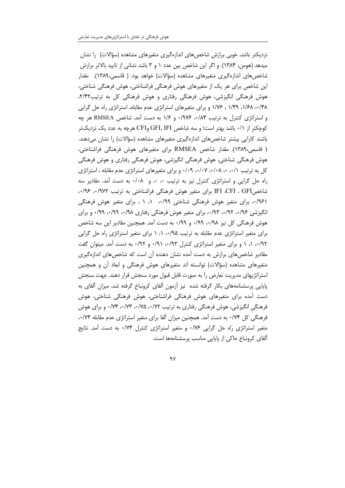نزدیکتر باشد، خوبی برازش شاخصهای اندازهگیری متغیرهای مشاهده (سؤالات) را نشان میدهد (هومن، ۱۳۸۴). و اگر این شاخص بین عدد ۱ و ۳ باشد نشانی از تایید بالاتر برازش شاخص۱۲۸۹). مقدار از مگیری متغیرهای مشاهده (سؤالات) خواهد بود. ( قاسمی،۱۳۸۹). مقدار این شاخص برای هر یک از متغیرهای هوش فرهنگی فراشناختی، هوش فرهنگی شناختی، هوش فرهنگی انگیزشی، هوش فرهنگی رفتاری و هوش فرهنگی کل به ترتیب۲/۴۲، ۰/۴۸ ۱/۶۸، ۱/۴۹ ، ۱/۷۶ و برای متغیرهای استراتژی عدم مقابله، استراتژی راه حل گرایی و استراتژی کنترل به ترتیب ۰/۹۷۶ ۰/۹۷۶ و ۱/۶ به دست آمد. شاخص RMSEA هر چه کوچکتر از ۰/۱ باشد بهتر است؛ و سه شاخص GFI, IFI وCFI هرچه به عدد یک نزدیکتر باشند کارایی بیشتر شاخصهای اندازهگیری متغیرهای مشاهده (سؤالات) را نشان میدهند. ( قاسمی،۱۳۸۹). مقدار شاخص RMSEA برای متغیرهای هوش فرهنگی فراشناختی، هوش فرهنگی شناختی، هوش فرهنگی انگیزشی، هوش فرهنگی رفتاری و هوش فرهنگی کل به ترتیب ۰/۰۸ ۰، ۰/۰۸، ۰/۰۷، ۰/۰۹، و برای متغیرهای استراتژی عدم مقابله ، استراتژی راه حل گرایی و استراتژی کنترل نیز به ترتیب ۰، ۰، و ۰/۰۸ به دست آمد. مقادیر سه شاخصGFI ، GFI برای متغیر هوش فرهنگی فراشناختی به ترتیب ۰/۹۷۲، ۰/۹۶ ۰/۹۶۱، برای متغیر هوش فرهنگی شناختی ۰/۹۹، ۰/ ۱ ، برای متغیر هوش فرهنگی انگیزشی ۰/۹۲، ۰/۹۲، ۰/۹۳، برای متغیر هوش فرهنگی رفتاری ۰/۹۸، ۰/۹۹، ۰/۹۹، و برای هوش فرهنگی کل نیز ۰/۹۸، ۰/۹۹ و ۰/۹۹ به دست آمد. همچنین مقادیر این سه شاخص برای متغیر استراتژی عدم مقابله به ترتیب ۰/۹۵ ۰/ ۱ برای متغیر استراتژی راه حل گرایی ۰/۹۲ ۰/ ۱ و برای متغیر استراتژی کنترل ۰/۹۳ و ۰/۹۲ به دست آمد. میتوان گفت مقادیر شاخصهای برازش به دست آمده نشان دهنده آن است که شاخصهای اندازهگیری متغیرهای مشاهده (سؤالات) توانسته اند متغیرهای هوش فرهنگی و ابعاد آن و همچنین استراتژیهای مدیریت تعارض را به صورت قابل قبول مورد سنجش قرار دهند. جهت سنجش پایایی پرسشنامههای بکار گرفته شده نیز آزمون آلفای کرونباخ گرفته شد، میزان آلفای به دست آمده برای متغیرهای هوش فرهنگی فراشناختی، هوش فرهنگی شناختی، هوش فرهنگی انگیزشی، هوش فرهنگی رفتاری به ترتیب ۰/۷۲، ۰/۷۵، ۰/۷۳، ۰/۷۴ و برای هوش فرهنگی کل ۷۴/۰ به دست آمد. همچنین میزان آلفا برای متغیر استراتژی عدم مقابله ۰۰/۷۴ متغیر استراتژی راه حل گرایی ۰/۷۶ و متغیر استراتژی کنترل ۰/۷۴ به دست آمد. نتایج آلفای کرونباخ حاکی از پایایی مناسب پرسشنامهها است.

 $9V$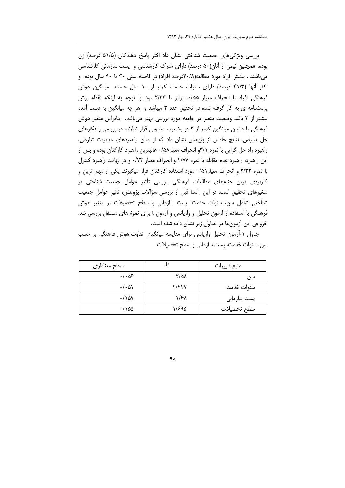بررسی ویژگیهای جمعیت شناختی نشان داد اکثر پاسخ دهندگان (۵۱/۵ درصد) زن بوده، همچنین نیمی از آنان(۵۰ درصد) دارای مدرک کارشناسی و پست سازمانی کارشناسی می باشند . بیشتر افراد مورد مطالعه(۰/۸-۴۰درصد افراد) در فاصله سنی ۳۰ تا ۴۰ سال بوده و اکثر آنها (۴۱/۳ درصد) دارای سنوات خدمت کمتر از ۱۰ سال هستند. میانگین هوش فرهنگی افراد با انحراف معیار ۰/۵۵، برابر با ۲/۳۳ بود. با توجه به اینکه نقطه برش پرسشنامه ی به کار گرفته شده در تحقیق عدد ۳ میباشد و هر چه میانگین به دست آمده بیشتر از ۳ باشد وضعیت متغیر در جامعه مورد بررسی بهتر میباشد، بنابراین متغیر هوش فرهنگی با داشتن میانگین کمتر از ۳ در وضعیت مطلوبی قرار ندارند. در بررسی راهکارهای حل تعارض، نتایج حاصل از پژوهش نشان داد که از میان راهبردهای مدیریت تعارض، راهبرد راه حل گرایی با نمره ۳/۱و انحراف معیار۵۸/۰ غالبترین راهبرد کارکنان بوده و پس از این راهبرد، راهبرد عدم مقابله با نمره ۲/۷۷ و انحراف معیار ۰/۷۳ و در نهایت راهبرد کنترل با نمره ۲/۳۳ و انحراف معیار۵۱/۰ مورد استفاده کارکنان قرار میگیرند. یکی از مهم ترین و کاربردی ترین جنبههای مطالعات فرهنگی، بررسی تأثیر عوامل جمعیت شناختی بر متغیرهای تحقیق است. در این راستا قبل از بررسی سؤالات پژوهش، تأثیر عوامل جمعیت شناختی شامل سن، سنوات خدمت، پست سازمانی و سطح تحصیلات بر متغیر هوش فرهنگی با استفاده از آزمون تحلیل و واریانس و آزمون t برای نمونههای مستقل بررسی شد. خروجی این آزمونها در جداول زیر نشان داده شده است.

جدول ۱-أزمون تحلیل واریانس برای مقایسه میانگین تفاوت هوش فرهنگی بر حسب سن، سنوات خدمت، پست سازمانی و سطح تحصیلات

| سطح معناداري         | F     | منبع تغييرات |
|----------------------|-------|--------------|
| ۱۰۵۶.                | ۲/۵۸  | سن           |
| $\cdot/\cdot\Delta$  | Y/FYY | سنوات خدمت   |
| $\cdot/\lambda$ 9    | ۱/۶۸  | پست سازمانی  |
| $\cdot/\delta\Delta$ | ۱/۶۹۵ | سطح تحصيلات  |

۹λ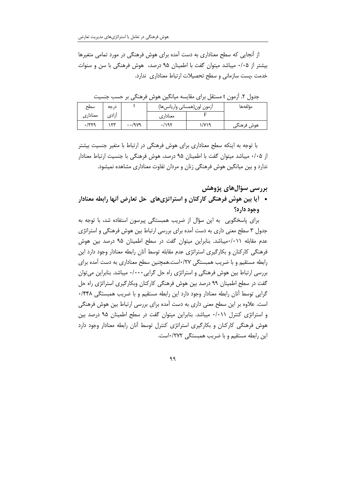از آنجایی که سطح معناداری به دست آمده برای هوش فرهنگی در مورد تمامی متغیرها بیشتر از ۰/۰۵ میباشد میتوان گفت با اطمینان ۹۵ درصد، هوش فرهنگی با سن و سنوات خدمت ،یست سازمانی و سطح تحصیلات ارتباط معناداری ندارد.

|              | $\cdots$                 | د ۰                    | . .<br>ີ                    | ں ،ر ب<br>$\bullet\bullet$ | ر رب<br>. رب |
|--------------|--------------------------|------------------------|-----------------------------|----------------------------|--------------|
| سطح          | درجه                     |                        | أزمون لون(همساني واريانسها) |                            | مؤلفهها      |
| معناداري     | أزادى                    |                        | معنادارى                    |                            |              |
| $\cdot$ /۳۲۹ | $\overline{\phantom{a}}$ | $-\cdot$ /9 $\gamma$ 9 | $\cdot$ /195                | ۱/۷۱۹                      | هوش فرهنگے   |

جدول ۲. آزمون t مستقل برای مقایسه میانگین هوش فرهنگی بر حسب جنسبت

با توجه به اینکه سطح معناداری برای هوش فرهنگی در ارتباط با متغیر جنسیت بیشتر از ۰/۰۵ میباشد میتوان گفت با اطمینان ۹۵ درصد، هوش فرهنگی با جنسیت ارتباط معنادار ندارد و بین میانگین هوش فرهنگی زنان و مردان تفاوت معناداری مشاهده نمیشود.

بررسی سؤالهای پژوهش

• أيا بين هوش فرهنگي كاركنان و استراتژيهاي حل تعارض أنها رابطه معنادار وجود دارد؟

برای پاسخگویی به این سؤال از ضریب همبستگی پیرسون استفاده شد، با توجه به جدول ۳ سطح معنی داری به دست آمده برای بررسی ارتباط بین هوش فرهنگی و استراتژی عدم مقابله ۰/۰۱۱میباشد. بنابراین میتوان گفت در سطح اطمینان ۹۵ درصد بین هوش فرهنگی کارکنان و بکارگیری استراتژی عدم مقابله توسط آنان رابطه معنادار وجود دارد این رابطه مستقیم و با ضریب همبستگی ۰/۲۷است.همچنین سطح معناداری به دست آمده برای بررسی ارتباط بین هوش فرهنگی و استراتژی راه حل گرایی ۱/۰۰۰ میباشد. بنابراین می توان گفت در سطح اطمینان ۹۹ درصد بین هوش فرهنگی کارکنان وبکارگیری استراتژی راه حل گرایی توسط آنان رابطه معنادار وجود دارد این رابطه مستقیم و با ضریب همبستگی ۰/۴۴۸ است. علاوه بر این سطح معنی داری به دست آمده برای بررسی ارتباط بین هوش فرهنگی و استراتژی کنترل ۰/۰۱۱ میباشد. بنابراین میتوان گفت در سطح اطمینان ۹۵ درصد بین هوش فرهنگی کارکنان و بکارگیری استراتژی کنترل توسط آنان رابطه معنادار وجود دارد این رابطه مستقیم و با ضریب همبستگی ۰/۲۷۲ست.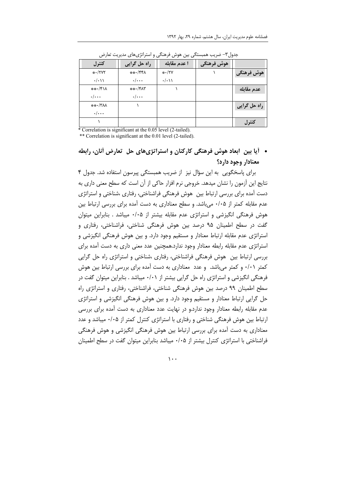| ر ں<br><br>د ر ر ب<br>ی…ں ر ں ر<br>$\cdots$<br>. |                      |                   |            |               |  |
|--------------------------------------------------|----------------------|-------------------|------------|---------------|--|
| كنترل                                            | راہ حل گرایی         | ا عدم مقابله      | هوش فرهنگی |               |  |
| $* \cdot$ /۲۷۲                                   | ***/44               | $*VY$             |            | هوش فرهنگی    |  |
| $\cdot/\cdot$ )                                  | $\cdot/\cdot\cdot$   | $\cdot/\cdot$ ) ) |            |               |  |
| ***/*11                                          | $***$ / $Y\Lambda Y$ |                   |            | عدم مقابله    |  |
| $\cdot/\cdots$                                   | $\cdot/\cdot\cdot$   |                   |            |               |  |
| ***/ YAA                                         |                      |                   |            | اراه حل گرایی |  |
| $\cdot/\cdot\cdot$                               |                      |                   |            |               |  |
|                                                  |                      |                   |            | كنترل         |  |

جدول۳– ضریب همبستگی بین هوش فرهنگی و استراتژیهای مدیریت تعارض

\* Correlation is significant at the 0.05 level (2-tailed).

\*\* Correlation is significant at the 0.01 level (2-tailed).

• آیا بین ابعاد هوش فرهنگی کارکنان و استراتژیهای حل تعارض أنان، رابطه معنادار وجود دارد؟

برای پاسخگویی به این سؤال نیز از ضریب همبستگی پیرسون استفاده شد. جدول ۴ نتايج اين آزمون را نشان ميدهد. خروجي نرم افزار حاكي از آن است كه سطح معنى داري به دست آمده برای بررسی ارتباط بین ِهوش فرهنگی فراشناختی، رفتاری ،شناختی و استراتژی عدم مقابله کمتر از ۰/۰۵ میباشد. و سطح معناداری به دست آمده برای بررسی ارتباط بین هوش فرهنگی انگیزشی و استراتژی عدم مقابله بیشتر از ۰/۰۵ میباشد . بنابراین میتوان گفت در سطح اطمینان ۹۵ درصد بین هوش فرهنگی شناختی، فراشناختی، رفتاری و استراتژی عدم مقابله ارتباط معنادار و مستقیم وجود دارد. و بین هوش فرهنگی انگیزشی و استراتژی عدم مقابله رابطه معنادار وجود ندارد.همچنین عدد معنی داری به دست آمده برای بررسی ارتباط بین هوش فرهنگی فراشناختی، رفتاری ،شناختی و استراتژی راه حل گرایی کمتر ۰/۰۱ و کمتر میباشد. و عدد معناداری به دست آمده برای بررسی ارتباط بین هوش فرهنگی انگیزشی و استراتژی راه حل گرایی بیشتر از ۰/۰۱ میباشد . بنابراین میتوان گفت در سطح اطمینان ۹۹ درصد بین هوش فرهنگی شناختی، فراشناختی، رفتاری و استراتژی راه حل گرایی ارتباط معنادار و مستقیم وجود دارد. و بین هوش فرهنگی انگیزشی و استراتژی عدم مقابله رابطه معنادار وجود ندارد.و در نهایت عدد معناداری به دست آمده برای بررسی ارتباط بین هوش فرهنگی شناختی و رفتاری با استراتژی کنترل کمتر از ۰/۰۵ میباشد و عدد معناداری به دست آمده برای بررسی ارتباط بین هوش فرهنگی انگیزشی و هوش فرهنگی فراشناختی با استراتژی کنترل بیشتر از ۰/۰۵ میباشد بنابراین میتوان گفت در سطح اطمینان

 $\mathcal{L}$ .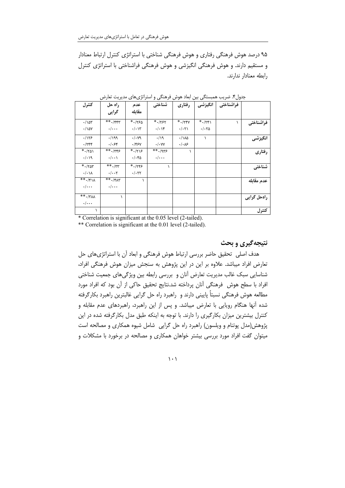۹۵ درصد هوش فرهنگی رفتاری و هوش فرهنگی شناختی با استراتژی کنترل ارتباط معنادار و مستقیم دارند. و هوش فرهنگی انگیزشی و هوش فرهنگی فراشناختی با استراتژی کنترل رابطه معنادار ندارند.

|             | فراشناختی | انگیزشی             | رفتاري                | شناختی             | عدم                  | راه حل               | كنترل                         |
|-------------|-----------|---------------------|-----------------------|--------------------|----------------------|----------------------|-------------------------------|
|             |           |                     |                       |                    |                      |                      |                               |
|             |           |                     |                       |                    | مقاىلە               | گرایی                |                               |
|             |           |                     |                       |                    |                      |                      |                               |
| فراشناختي   |           | $*$ ./۲۴۱           | $*$ ./٢۴٧             | $*$ . $1557$       | $*$ . $150$          | $***.$ /۴۴۳          | $\cdot/\Delta r$              |
|             |           | $. / \times \Delta$ | .7.71                 | $\cdot/\cdot$ \۴   | $\cdot/\cdot$ \ \    | $\cdot/\cdot\cdot$   | $\cdot/\lambda$ ay            |
| انگیزشی     |           | ١                   | ۰/۱۸۵                 | .19                | $\cdot/\cdot$ $\vee$ | .199                 | .1155                         |
|             |           |                     | $\cdot/\cdot\sqrt{2}$ | $\cdot/\cdot$ YY   | ۰/۴۶۷                | ۰/۰۶۴                | .754                          |
| رفتاري      |           |                     |                       | $**.$ Are          | $*$ ./۲۱۶            | $**$ . $775$         | $*$ ./٢۵١                     |
|             |           |                     |                       | $\cdot/\cdot\cdot$ | $\cdot/\cdot$ ۴۵     | $\cdot/\cdot\cdot$   | $\cdot/\cdot$ 19              |
| شناختي      |           |                     |                       |                    | $*$ . $155$          | $**$ ./۳۳            | $*$ . $/707$                  |
|             |           |                     |                       |                    | .77.                 | $\cdot/\cdot\cdot$ ۲ | $\cdot/\cdot\setminus\Lambda$ |
| عدم مقابله  |           |                     |                       |                    | ١                    | $**.$ /۴۸۳           | $\overline{**}$ ./۴۱۸         |
|             |           |                     |                       |                    |                      | $\cdot/\cdot\cdot$   | $\cdot/\cdot\cdot$            |
| راہحل گرایی |           |                     |                       |                    |                      |                      | $**$ ./۳۸۸                    |
|             |           |                     |                       |                    |                      |                      | $\cdot/\cdot\cdot\cdot$       |
| كنترل       |           |                     |                       |                    |                      |                      | ١                             |

جدول۴. ضریب همبستگی بین ابعاد هوش فرهنگی و استراتژیهای مدیریت تعارض

\* Correlation is significant at the 0.05 level (2-tailed).

\*\* Correlation is significant at the 0.01 level (2-tailed).

### نتیجهگیری و بحث

هدف اصلی تحقیق حاضر بررسی ارتباط هوش فرهنگی و ابعاد آن با استراتژیهای حل تعارض افراد میباشد. علاوه بر این در این پژوهش به سنجش میزان هوش فرهنگی افراد، شناسایی سبک غالب مدیریت تعارض آنان و بررسی رابطه بین ویژگیهای جمعیت شناختی افراد با سطح هوش ِ فرهنگی آنان پرداخته شد.نتایج تحقیق حاکی از آن بود که افراد مورد مطالعه هوش فرهنگی نسبتاً پایینی دارند و راهبرد راه حل گرایی غالبترین راهبرد بکارگرفته شده آنها هنگام رویایی با تعارض میباشد. و پس از این راهبرد، راهبردهای عدم مقابله و کنترل بیشترین میزان بکارگیری را دارند. با توجه به اینکه طبق مدل بکارگرفته شده در این پژوهش(مدل پوتنام و ویلسون) راهبرد راه حل گرایی شامل شیوه همکاری و مصالحه است میتوان گفت افراد مورد بررسی بیشتر خواهان همکاری و مصالحه در برخورد با مشکلات و

 $\left| \cdot \right|$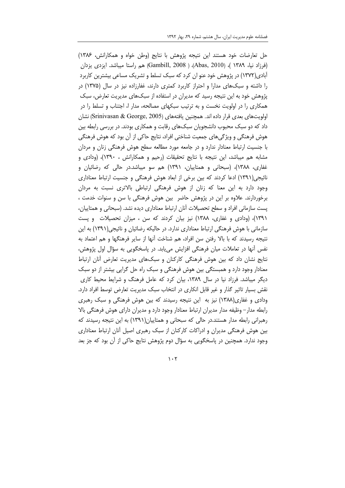حل تعارضات خود هستند این نتیجه پژوهش با نتایج (وطن خواه و همکارانش، ۱۳۸۶) (فرزاد نیا، ۱۳۸۹ )، (Abas, 2010)، ( Gambill, 2008) هم راستا میباشد. ایزدی یزدان آبادی(۱۳۷۲) در پژوهش خود عنو ان کرد که سبک تسلط و تشریک مساعی بیشترین کاربرد را داشته و سبکهای مدارا و احتراز کاربرد کمتری دارند، غفارزاده نیز در سال (۱۳۷۵) در پژوهش خود به این نتیجه رسید که مدیران در استفاده از سبکهای مدیریت تعارض، سبک همکاری را در اولویت نخست و به ترتیب سبکهای مصالحه، مدار ا، اجتناب و تسلط را در اولويتهاى بعدى قرار داده اند. همچنين يافتههاى (Srinivasan & George, 2005) نشان داد که دو سبک محبوب دانشجویان سبکهای رقابت و همکاری بودند. در بررسی رابطه بین هوش فرهنگی و ویژگیهای جمعیت شناختی افراد، نتایج حاکی از آن بود که هوش فرهنگی با جنسیت ارتباط معنادار ندارد و در جامعه مورد مطالعه سطح هوش فرهنگی زنان و مردان مشابه هم میباشد، این نتیجه با نتایج تحقیقات (رحیم و همکارانش ، ۱۳۹۰)، (ودادی و غفاری، ۱۳۸۸)، (سبحانی و همتاییان، ۱۳۹۱) هم سو میباشد.در حالی که رضائیان و نائیجی(۱۳۹۱) ادعا کردند که بین برخی از ابعاد هوش فرهنگی و جنسیت ارتباط معناداری وجود دارد به این معنا که زنان از هوش فرهنگی ارتباطی بالاتری نسبت به مردان برخوردارند. علاوه بر این در پژوهش حاضر بین هوش فرهنگی با سن و سنوات خدمت ، پست سازمانی افراد و سطح تحصیلات أنان ارتباط معناداری دیده نشد. (سبحانی و همتاییان، ۱۳۹۱)، (ودادی و غفاری، ۱۳۸۸) نیز بیان کردند که سن ، میزان تحصیلات و پست سازمانی با هوش فرهنگی ارتباط معناداری ندارد. در حالیکه رضائیان و نائیجی(۱۳۹۱) به این نتیجه رسیدند که با بالا رفتن سن افراد، هم شناخت اًنها از سایر فرهنگها و هم اعتماد به نفس أنها در تعاملات میان فرهنگی افزایش مییابد. در پاسخگویی به سؤال اول پژوهش، نتایج نشان داد که بین هوش فرهنگی کارکنان و سبکهای مدیریت تعارض أنان ارتباط معنادار وجود دارد و همبستگی بین هوش فرهنگی و سبک راه حل گرایی بیشتر از دو سبک دیگر میباشد. فرزاد نیا در سال ۱۳۸۹، بیان کرد که عامل فرهنگ و شرایط محیط کاری نقش بسیار تاثیر گذار و غیر قابل انکاری در انتخاب سبک مدیریت تعارض توسط افراد دارد. ودادی و غفاری(۱۳۸۸) نیز به این نتیجه رسیدند که بین هوش فرهنگی و سبک رهبری رابطه مدار – وظيفه مدار مديران ارتباط معنادار وجود دارد و مديران داراي هوش فرهنگي بالا رهبرانی رابطه مدار هستند.در حالی که سبحانی و همتاییان(۱۳۹۱) به این نتیجه رسیدند که بین هوش فرهنگی مدیران و ادراکات کارکنان از سبک رهبری اصیل أنان ارتباط معناداری وجود ندارد. همچنین در پاسخگویی به سؤال دوم پژوهش نتایج حاکی از آن بود که جز بعد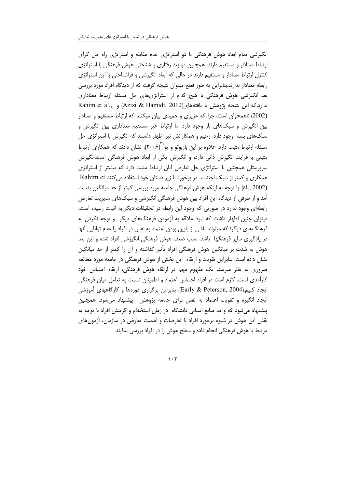انگیزشی تمام ابعاد هوش فرهنگی با دو استراتژی عدم مقابله و استراتژی راه حل گرای ارتباط معنادار و مستقیم دارند. همچنین دو بعد رفتاری و شناختی هوش فرهنگی با استراتژی کنترل ارتباط معنادار و مستقیم دارند در حالی که ابعاد انگیزشی و فراشناختی با این استراتژی رابطه معنادار ندارند.بنابراین به طور قطع میتوان نتیجه گرفت که از دیدگاه افراد مورد بررسی بعد انگیزشی هوش فرهنگی با هیچ کدام از استراتژیهای حل مسئله ارتباط معناداری ندارد.كه اين نتيجه پژوهش با يافتههاي(Azizi & Hamidi, 2012) و Rahim et al., (2002) ناهمخوان است، چرا که عزیزی و حمیدی بیان میکنند که ارتباط مستقیم و معنادار بین انگیزش و سبکهای باز وجود دارد اما ارتباط غیر مستقیم معناداری بین انگیزش و سبکهای بسته وجود دارد. رحیم و همکارانش نیز اظهار داشتند که انگیزش با استراتژی حل مسئله ارتباط مثبت دارد. علاوه بر این باربوتو و یو<sup>۲٬</sup>(۲۰۰۶)، نشان دادند که همکاری ارتباط مثبتی با فرایند انگیزش ذاتی دارد، و انگیزش یکی از ابعاد هوش فرهنگی است.انگیزش سرپرستان همچنین با استراتژی حل تعارض آنان ارتباط مثبت دارد که بیشتر از استراتژی همکاری و کمتر از سبک اجتناب در برخورد با زیر دستان خود استفاده میکنند Rahim et (al., 2002). با توجه به اینکه هوش فرهنگی جامعه مورد بررسی کمتر از حد میانگین بدست آمد و از طرفی از دیدگاه این افراد بین هوش فرهنگی انگیزشی و سبکهای مدیریت تعارض رابطهای وجود ندارد در صورتی که وجود این رابطه در تحقیقات دیگر به اثبات رسیده است، میتوان چنین اظهار داشت که نبود علاقه به آزمودن فرهنگهای دیگر و توجه نکردن به فرهنگهای دیگر؛ که میتواند ناشی از پایین بودن اعتماد به نفس در افراد یا عدم توانایی أنها در یادگیری سایر فرهنگها باشد، سبب ضعف هوش فرهنگی انگیزشی افراد شده و این بعد هوش به شدت بر میانگین هوش فرهنگی افراد تأثیر گذاشته و آن را کمتر از حد میانگین نشان داده است. بنابراین تقویت و ارتقاء این بخش از هوش فرهنگی در جامعه مورد مطالعه ضروری به نظر میرسد. یک مفهوم مهم در ارتقاء هوش فرهنگی، ارتقاء احساس خود کارآمدی است. لازم است در افراد احساس اعتماد و اطمینان نسبت به تعامل میان فرهنگی ایجاد کنیم.(Early & Peterson, 2004). بنابراین برگزاری دورهها و کارگاههای آموزشی ایجاد انگیزه و تقویت اعتماد به نفس برای جامعه پژوهش هپیشنهاد میشود. همچنین پیشنهاد میشود که واحد منابع انسانی دانشگاه در زمان استخدام و گزینش افراد با توجه به نقش این هوش در شیوه برخورد افراد با تعارضات و اهمیت تعارض در سازمان، آزمونهای مرتبط با هوش فرهنگی انجام داده و سطح هوش را در افراد بررسی نمایند.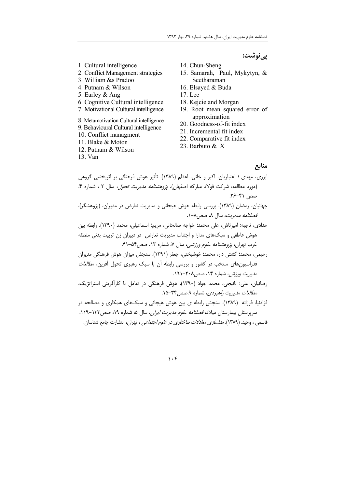## پىنوشت:

- 1. Cultural intelligence
- 2. Conflict Management strategies
- 3. William &s Pradoo
- 4. Putnam & Wilson
- 5. Earley & Ang
- 6. Cognitive Cultural intelligence
- 7. Motivational Cultural intelligence
- 8. Metamotivation Cultural intelligence 9. Behavioural Cultural intelligence
- 10. Conflict managment
- 11. Blake & Moton
- 12. Putnam & Wilson
- 13. Van
- 14. Chun-Sheng
- 15. Samarah, Paul, Mykytyn, & Seetharaman
- 16. Elsaved & Buda
- 17. Lee
- 18. Kejcie and Morgan
- 19. Root mean squared error of approximation
- 20. Goodness-of-fit index
- 21. Incremental fit index
- 22. Comparative fit index
- 23. Barbuto & X

#### منابع

- ابزری، مهدی ؛ اعتباریان، اکبر و خانی، اعظم (۱۳۸۹). تأثیر هوش فرهنگی بر اثربخشی گروهی (مورد مطالعه: شركت فولاد مباركه اصفهان)، *پژوهشنامه مديريت تحول*، سال ٢ ، شماره ۴. صص ۴۱-۲۶. جهانیان، رمضان (۱۳۸۹). بررسی رابطه هوش هیجانی و مدیریت تعارض در مدیران، (پژوهشگر)، فصلنامه مدیریت، سال ۸، صص۸-۱. حدادي، ناجيه؛ اميرتاش، على محمد؛ خواجه صالحاني، مريم؛ اسماعيلي، محمد (١٣٩٠). رابطه بين هوش عاطفی و سبکهای مدارا و اجتناب مدیریت تعارض ٍ در دبیران زن تربیت بدنی منطقه غرب تهران، *پژوهشنامه علوم ورزشی*، سال ۷، شماره ۱۳، صص۴۵-۴۱.
- رحیمی، محمد؛ کشتی دار، محمد؛ خوشبختی، جعفر (۱۳۹۱). سنجش میزان هوش فرهنگی مدیران فدراسیون های منتخب در کشور و بررسی رابطه آن با سبک رهبری تحول آفرین، *مطالعات* مدیریت ورزش، شماره ۱۴، صص۲۰۸-۱۹۱.
- رضائیان، علی؛ نائیجی، محمد جواد (۱۳۹۰). هوش فرهنگی در تعامل با کارآفرینی استراتژیک، مطالعات مديريت راهبردي، شماره ٩.صص ٣٣-١۵.

فزادنیا، فرزانه (۱۳۸۹). سنجش رابطه ی بین هوش هیجانی و سبکهای همکاری و مصالحه در سرپرستان بیمارستان میلاد، *فصلنامه علوم مدیریت ایران*، سال ۵، شماره ۱۹، صص۱۳۳–۱۱۹. قاسمی ، وحید. (۱۳۸۹). *مدلسازی معادلات ساختاری در علوم اجتماعی* ، ت<u>هران</u>، انتشارت جامع شناسان.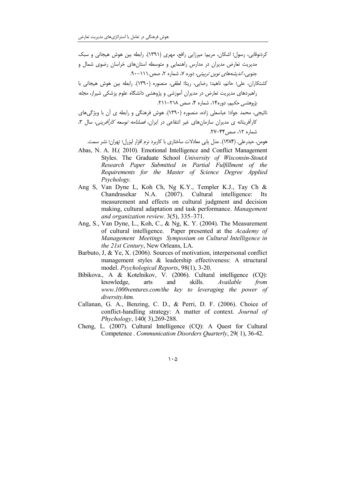كردنوقابي، رسول؛ اشكان، مريم؛ ميرزايي رافع، مهري (١٣٩١). رابطه بين هوش هيجاني و سبك مدیریت تعارض مدیران در مدارس راهنمایی و متوسطه استانهای خراسان رضوی شمال و حنوب*ی، اندیشههای نوین تربیتی،* دوره ۷، شماره ۲، صص ۱۱۱-۹۰.

كشتكاران، على؛ حاتم، ناهيد؛ رضايي، ريتا؛ لطفي، منصوره (١٣٩٠). رابطه بين هوش هيجاني با راهبردهای مدیریت تعارض در مدیران آموزشی و پژوهشی دانشگاه علوم پزشکی شیراز، *مجله* يژوهشي حكيم، دوره١۴، شماره ۴، صص ٢١٨-٢١١.

نائیجی، محمد جواد؛ عباسعلی زاده، منصوره (۱۳۹۰). هوش فرهنگی و رابطه ی آن با ویژگیهای کارآفرینانه ی مدیران سازمانهای غیر انتفاعی در ایران، *فصلنامه توسعه کارآفرینه ,*، سال ۳، شماره ۱۲، صص ۴۴–۲۷.

هومن، حیدرعلی. (۱۳۸۴). مدل یابی معادلات ساختاری با کاربرد نرم افزار لیزرل؛ تهران؛ نشر سمت.

- Abas, N. A. H.(2010). Emotional Intelligence and Conflict Management Styles. The Graduate School University of Wisconsin-StoutA Research Paper Submitted in Partial Fulfillment of the Requirements for the Master of Science Degree Applied Psychology.
- Ang S, Van Dyne L, Koh Ch, Ng K.Y., Templer K.J., Tay Ch & Chandrasekar N.A. (2007). Cultural intelligence: Its measurement and effects on cultural judgment and decision making, cultural adaptation and task performance. Management and organization review.  $3(5)$ ,  $335-371$ .
- Ang, S., Van Dyne, L., Koh, C., & Ng, K. Y. (2004). The Measurement of cultural intelligence. Paper presented at the Academy of Management Meetings Symposium on Cultural Intelligence in the 21st Century, New Orleans, LA.
- Barbuto, J. & Ye, X. (2006). Sources of motivation, interpersonal conflict management styles & leadership effectiveness: A structural model. Psychological Reports, 98(1), 3-20.
- Bibikova., A & Kotelnikov, V. (2006). Cultural intelligence (CQ): skills. knowledge, arts and Available from www.1000ventures.com/the key to leveraging the power of diversity.htm.
- Callanan, G. A., Benzing, C. D., & Perri, D. F. (2006). Choice of conflict-handling strategy: A matter of context. Journal of Phychology, 140(3), 269-288.
- Cheng, L. (2007). Cultural Intelligence (CQ): A Quest for Cultural Competence Communication Disorders Ouarterly, 29(1), 36-42.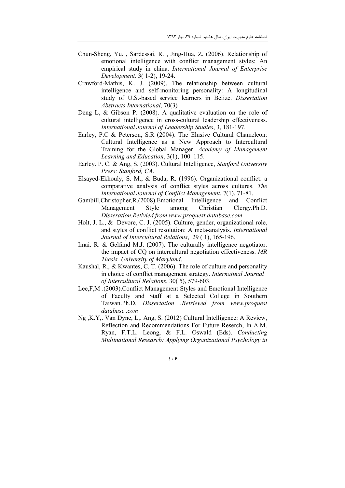- Chun-Sheng, Yu., Sardessai, R., Jing-Hua, Z. (2006). Relationship of emotional intelligence with conflict management styles: An empirical study in china. International Journal of Enterprise Development. 3(1-2), 19-24.
- Crawford-Mathis, K. J. (2009). The relationship between cultural intelligence and self-monitoring personality: A longitudinal study of U.S.-based service learners in Belize. Dissertation Abstracts International, 70(3).
- Deng L, & Gibson P.  $(2008)$ . A qualitative evaluation on the role of cultural intelligence in cross-cultural leadership effectiveness. International Journal of Leadership Studies, 3, 181-197.
- Earley, P.C & Peterson, S.R (2004). The Elusive Cultural Chameleon: Cultural Intelligence as a New Approach to Intercultural Training for the Global Manager. Academy of Management Learning and Education, 3(1), 100-115.
- Earley, P. C. & Ang, S. (2003). Cultural Intelligence, Stanford University Press: Stanford, CA.
- Elsayed-Ekhouly, S. M., & Buda, R. (1996). Organizational conflict: a comparative analysis of conflict styles across cultures. The International Journal of Conflict Management, 7(1), 71-81.
- Gambill, Christopher, R. (2008), Emotional Intelligence and Conflict Management Style among Christian Clergy.Ph.D. Disseration.Retivied from www.proquest database.com
- Holt, J. L., & Devore, C. J. (2005). Culture, gender, organizational role, and styles of conflict resolution: A meta-analysis. International Journal of Intercultural Relations, 29 (1), 165-196.
- Imai. R. & Gelfand M.J. (2007). The culturally intelligence negotiator: the impact of CO on intercultural negotiation effectiveness. MR Thesis. University of Maryland.
- Kaushal, R., & Kwantes, C. T. (2006). The role of culture and personality in choice of conflict management strategy. Internatinal Journal of Intercultural Relations, 30(5), 579-603.
- Lee, F, M . (2003). Conflict Management Styles and Emotional Intelligence of Faculty and Staff at a Selected College in Southern Taiwan.Ph.D. Dissertation .Retrieved from www.proquest database .com
- Ng, K.Y., Van Dyne, L., Ang, S. (2012) Cultural Intelligence: A Review, Reflection and Recommendations For Future Reserch, In A.M. Ryan, F.T.L. Leong, & F.L. Oswald (Eds). Conducting Multinational Researcb: Applying Organizational Psychology in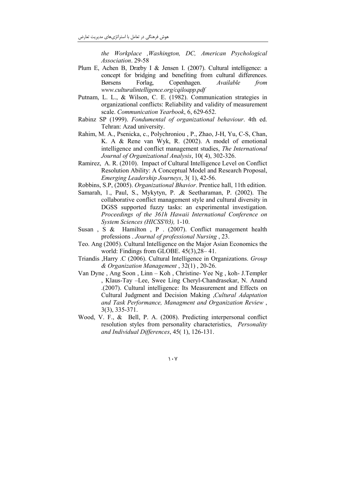the Workplace , Washington, DC, American Psychological Association. 29-58

- Plum E, Achen B, Dræby I & Jensen I. (2007). Cultural intelligence: a concept for bridging and benefiting from cultural differences. **B**ørsens Forlag, Copenhagen. Available from www.culturalintelligence.org/cqiloapp.pdf
- Putnam, L. L., & Wilson, C. E. (1982). Communication strategies in organizational conflicts: Reliability and validity of measurement scale. Communication Yearbook, 6, 629-652.
- Rabinz SP (1999). Fondumental of organizational behaviour. 4th ed. Tehran: Azad university.
- Rahim, M. A., Psenicka, c., Polychroniou, P., Zhao, J-H, Yu, C-S, Chan, K. A & Rene van Wyk, R. (2002). A model of emotional intelligence and conflict management studies, The International Journal of Organizational Analysis, 10(4), 302-326.
- Ramirez, A. R. (2010). Impact of Cultural Intelligence Level on Conflict Resolution Ability: A Conceptual Model and Research Proposal, Emerging Leadership Journeys, 3(1), 42-56.
- Robbins, S.P. (2005). Organizational Bhavior. Prentice hall, 11th edition.
- Samarah, 1., Paul, S., Mykytyn, P., & Seetharaman, P. (2002). The collaborative conflict management style and cultural diversity in DGSS supported fuzzy tasks: an experimental investigation. Proceedings of the 361h Hawaii International Conference on System Sciences (HICSS'03), 1-10.
- Susan, S & Hamilton, P . (2007). Conflict management health professions . Journal of professional Nursing, 23.
- Teo. Ang (2005). Cultural Intelligence on the Major Asian Economics the world: Findings from GLOBE.  $45(3)$ ,  $28-41$ .
- Triandis , Harry .C (2006). Cultural Intelligence in Organizations. *Group* & Organization Management, 32(1), 20-26.
- Van Dyne, Ang Soon, Linn Koh, Christine- Yee Ng, koh- J.Templer , Klaus-Tay -Lee, Swee Ling Cheryl-Chandrasekar, N. Anand .(2007). Cultural intelligence: Its Measurement and Effects on Cultural Judgment and Decision Making Cultural Adaptation and Task Performance, Managment and Organization Review,  $3(3)$ ,  $335-371$ .
- Wood, V. F., & Bell, P. A. (2008). Predicting interpersonal conflict resolution styles from personality characteristics, Personality and Individual Differences, 45(1), 126-131.